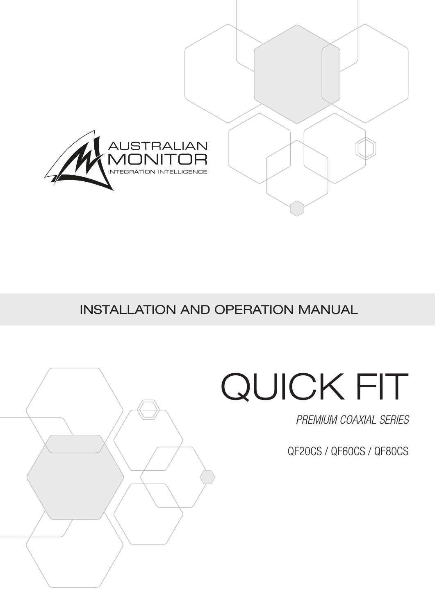

INSTALLATION AND OPERATION MANUAL



## QUICK FIT

*PREMIUM COAXIAL SERIES*

QF20CS / QF60CS / QF80CS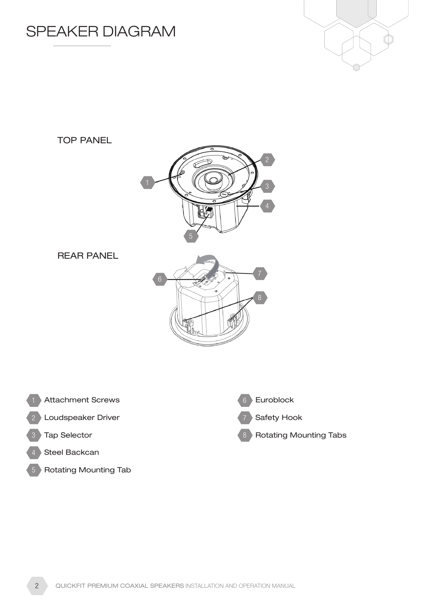





REAR PANEL





- 2 Doudspeaker Driver and the contract of  $7\,$
- 3 and Selector and Selector and Selector and Selector and Selector and Selection and Selection and Selection and Selection and Selection and Selection and Selection and Selection and Selection and Selection and Selection a
- 4 Steel Backcan
- Rotating Mounting Tab



Safety Hook

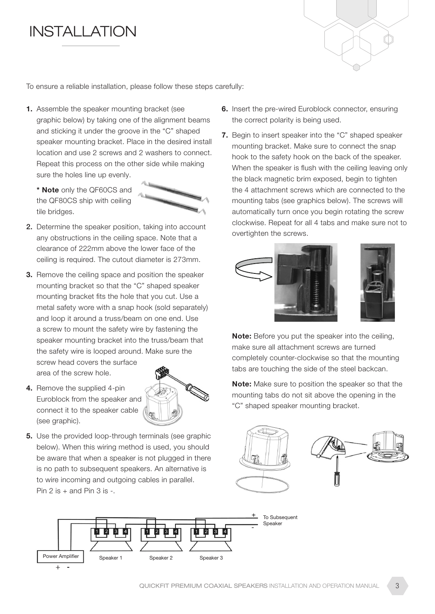## **INSTALLATION**



To ensure a reliable installation, please follow these steps carefully:

- 1. Assemble the speaker mounting bracket (see graphic below) by taking one of the alignment beams and sticking it under the groove in the "C" shaped speaker mounting bracket. Place in the desired install location and use 2 screws and 2 washers to connect. Repeat this process on the other side while making sure the holes line up evenly.
	- \* Note only the QF60CS and the QF80CS ship with ceiling tile bridges.



- 2. Determine the speaker position, taking into account any obstructions in the ceiling space. Note that a clearance of 222mm above the lower face of the ceiling is required. The cutout diameter is 273mm.
- **3.** Remove the ceiling space and position the speaker mounting bracket so that the "C" shaped speaker mounting bracket fits the hole that you cut. Use a metal safety wore with a snap hook (sold separately) and loop it around a truss/beam on one end. Use a screw to mount the safety wire by fastening the speaker mounting bracket into the truss/beam that the safety wire is looped around. Make sure the screw head covers the surface area of the screw hole.
- 4. Remove the supplied 4-pin Euroblock from the speaker and connect it to the speaker cable (see graphic).



**5.** Use the provided loop-through terminals (see graphic below). When this wiring method is used, you should be aware that when a speaker is not plugged in there is no path to subsequent speakers. An alternative is to wire incoming and outgoing cables in parallel. Pin 2 is  $+$  and Pin 3 is  $-$ .

- 6. Insert the pre-wired Euroblock connector, ensuring the correct polarity is being used.
- 7. Begin to insert speaker into the "C" shaped speaker mounting bracket. Make sure to connect the snap hook to the safety hook on the back of the speaker. When the speaker is flush with the ceiling leaving only the black magnetic brim exposed, begin to tighten the 4 attachment screws which are connected to the mounting tabs (see graphics below). The screws will automatically turn once you begin rotating the screw clockwise. Repeat for all 4 tabs and make sure not to overtighten the screws.





Note: Before you put the speaker into the ceiling, make sure all attachment screws are turned completely counter-clockwise so that the mounting tabs are touching the side of the steel backcan.

Note: Make sure to position the speaker so that the mounting tabs do not sit above the opening in the "C" shaped speaker mounting bracket.